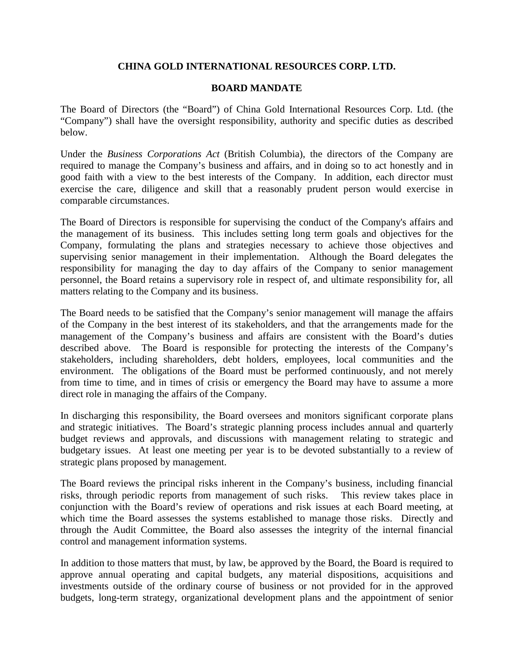# **CHINA GOLD INTERNATIONAL RESOURCES CORP. LTD.**

## **BOARD MANDATE**

The Board of Directors (the "Board") of China Gold International Resources Corp. Ltd. (the "Company") shall have the oversight responsibility, authority and specific duties as described below.

Under the *Business Corporations Act* (British Columbia), the directors of the Company are required to manage the Company's business and affairs, and in doing so to act honestly and in good faith with a view to the best interests of the Company. In addition, each director must exercise the care, diligence and skill that a reasonably prudent person would exercise in comparable circumstances.

The Board of Directors is responsible for supervising the conduct of the Company's affairs and the management of its business. This includes setting long term goals and objectives for the Company, formulating the plans and strategies necessary to achieve those objectives and supervising senior management in their implementation. Although the Board delegates the responsibility for managing the day to day affairs of the Company to senior management personnel, the Board retains a supervisory role in respect of, and ultimate responsibility for, all matters relating to the Company and its business.

The Board needs to be satisfied that the Company's senior management will manage the affairs of the Company in the best interest of its stakeholders, and that the arrangements made for the management of the Company's business and affairs are consistent with the Board's duties described above. The Board is responsible for protecting the interests of the Company's stakeholders, including shareholders, debt holders, employees, local communities and the environment. The obligations of the Board must be performed continuously, and not merely from time to time, and in times of crisis or emergency the Board may have to assume a more direct role in managing the affairs of the Company.

In discharging this responsibility, the Board oversees and monitors significant corporate plans and strategic initiatives. The Board's strategic planning process includes annual and quarterly budget reviews and approvals, and discussions with management relating to strategic and budgetary issues. At least one meeting per year is to be devoted substantially to a review of strategic plans proposed by management.

The Board reviews the principal risks inherent in the Company's business, including financial risks, through periodic reports from management of such risks. This review takes place in conjunction with the Board's review of operations and risk issues at each Board meeting, at which time the Board assesses the systems established to manage those risks. Directly and through the Audit Committee, the Board also assesses the integrity of the internal financial control and management information systems.

In addition to those matters that must, by law, be approved by the Board, the Board is required to approve annual operating and capital budgets, any material dispositions, acquisitions and investments outside of the ordinary course of business or not provided for in the approved budgets, long-term strategy, organizational development plans and the appointment of senior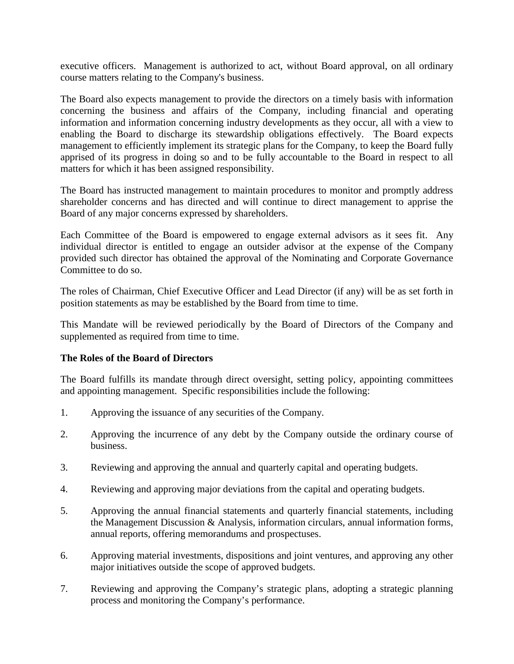executive officers. Management is authorized to act, without Board approval, on all ordinary course matters relating to the Company's business.

The Board also expects management to provide the directors on a timely basis with information concerning the business and affairs of the Company, including financial and operating information and information concerning industry developments as they occur, all with a view to enabling the Board to discharge its stewardship obligations effectively. The Board expects management to efficiently implement its strategic plans for the Company, to keep the Board fully apprised of its progress in doing so and to be fully accountable to the Board in respect to all matters for which it has been assigned responsibility.

The Board has instructed management to maintain procedures to monitor and promptly address shareholder concerns and has directed and will continue to direct management to apprise the Board of any major concerns expressed by shareholders.

Each Committee of the Board is empowered to engage external advisors as it sees fit. Any individual director is entitled to engage an outsider advisor at the expense of the Company provided such director has obtained the approval of the Nominating and Corporate Governance Committee to do so.

The roles of Chairman, Chief Executive Officer and Lead Director (if any) will be as set forth in position statements as may be established by the Board from time to time.

This Mandate will be reviewed periodically by the Board of Directors of the Company and supplemented as required from time to time.

# **The Roles of the Board of Directors**

The Board fulfills its mandate through direct oversight, setting policy, appointing committees and appointing management. Specific responsibilities include the following:

- 1. Approving the issuance of any securities of the Company.
- 2. Approving the incurrence of any debt by the Company outside the ordinary course of business.
- 3. Reviewing and approving the annual and quarterly capital and operating budgets.
- 4. Reviewing and approving major deviations from the capital and operating budgets.
- 5. Approving the annual financial statements and quarterly financial statements, including the Management Discussion & Analysis, information circulars, annual information forms, annual reports, offering memorandums and prospectuses.
- 6. Approving material investments, dispositions and joint ventures, and approving any other major initiatives outside the scope of approved budgets.
- 7. Reviewing and approving the Company's strategic plans, adopting a strategic planning process and monitoring the Company's performance.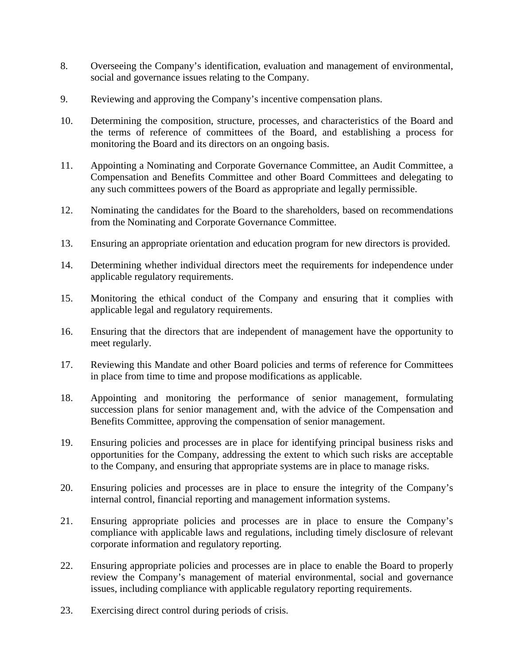- 8. Overseeing the Company's identification, evaluation and management of environmental, social and governance issues relating to the Company.
- 9. Reviewing and approving the Company's incentive compensation plans.
- 10. Determining the composition, structure, processes, and characteristics of the Board and the terms of reference of committees of the Board, and establishing a process for monitoring the Board and its directors on an ongoing basis.
- 11. Appointing a Nominating and Corporate Governance Committee, an Audit Committee, a Compensation and Benefits Committee and other Board Committees and delegating to any such committees powers of the Board as appropriate and legally permissible.
- 12. Nominating the candidates for the Board to the shareholders, based on recommendations from the Nominating and Corporate Governance Committee.
- 13. Ensuring an appropriate orientation and education program for new directors is provided.
- 14. Determining whether individual directors meet the requirements for independence under applicable regulatory requirements.
- 15. Monitoring the ethical conduct of the Company and ensuring that it complies with applicable legal and regulatory requirements.
- 16. Ensuring that the directors that are independent of management have the opportunity to meet regularly.
- 17. Reviewing this Mandate and other Board policies and terms of reference for Committees in place from time to time and propose modifications as applicable.
- 18. Appointing and monitoring the performance of senior management, formulating succession plans for senior management and, with the advice of the Compensation and Benefits Committee, approving the compensation of senior management.
- 19. Ensuring policies and processes are in place for identifying principal business risks and opportunities for the Company, addressing the extent to which such risks are acceptable to the Company, and ensuring that appropriate systems are in place to manage risks.
- 20. Ensuring policies and processes are in place to ensure the integrity of the Company's internal control, financial reporting and management information systems.
- 21. Ensuring appropriate policies and processes are in place to ensure the Company's compliance with applicable laws and regulations, including timely disclosure of relevant corporate information and regulatory reporting.
- 22. Ensuring appropriate policies and processes are in place to enable the Board to properly review the Company's management of material environmental, social and governance issues, including compliance with applicable regulatory reporting requirements.
- 23. Exercising direct control during periods of crisis.